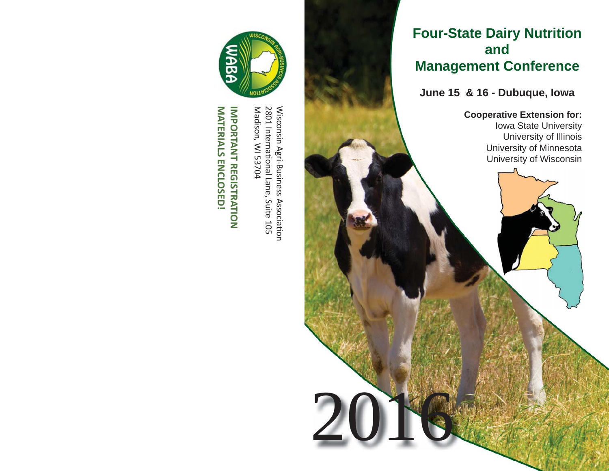# **Four-State Dairy Nutrition and Management Conference**

**June 15 & 16 - Dubuque, Iowa**

2016

**Cooperative Extension for:** Iowa State University University of Illinois University of Minnesota University of Wisconsin



Madison, WI 53704 Wisconsin Agri-Business Association<br>2801 International Lane, Suite 105 Madison, WI 537042801 InternaƟ onal Lane, Suite 105

Wisconsin Agri-Business Association

**MATERIALS ENCLOSED! IMPORTANT REGISTRATION MATERIALS ENCLOSED! IMPORTANT REGISTRATION**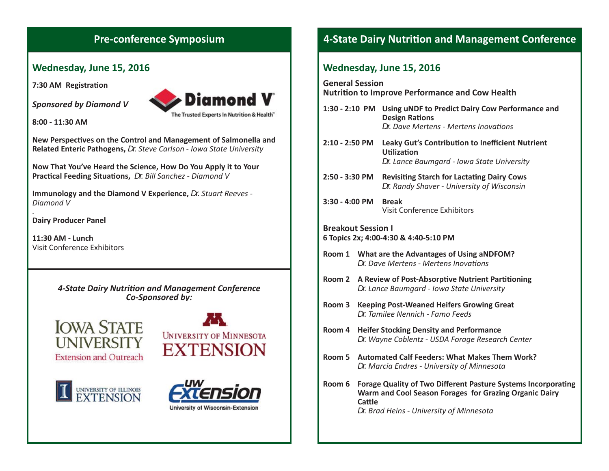## **Wednesday, June 15, 2016**

**7:30 AM Registration** 

*Sponsored by Diamond V*



The Trusted Experts In Nutrition & Health"

**8:00 - 11:30 AM**

**New PerspecƟ ves on the Control and Management of Salmonella and Related Enteric Pathogens,** *Dr. Steve Carlson - Iowa State University*

**Now That You've Heard the Science, How Do You Apply it to Your PracƟ cal Feeding SituaƟ ons,** *Dr. Bill Sanchez - Diamond V*

**Immunology and the Diamond V Experience,** *Dr. Stuart Reeves - Diamond V*

**Dairy Producer Panel**

**11:30 AM - Lunch**Visit Conference Exhibitors

> *4-State Dairy NutriƟ on and Management Conference Co-Sponsored by:*









# **Pre-conference Symposium**<br>**4-State Dairy Nutrition and Management Conference**

#### **Wednesday, June 15, 2016**

**General Session NutriƟ on to Improve Performance and Cow Health**

| 1:30 - 2:10 PM Using uNDF to Predict Dairy Cow Performance and<br><b>Design Rations</b> |  |  |  |  |
|-----------------------------------------------------------------------------------------|--|--|--|--|
| Dr. Dave Mertens - Mertens Inovations                                                   |  |  |  |  |

**2:10 - 2:50 PM Leaky Gut's ContribuƟ on to Ineffi cient Nutrient UƟ lizaƟ on***Dr. Lance Baumgard - Iowa State University*

**2:50 - 3:30 PM RevisiƟ ng Starch for LactaƟ ng Dairy Cows** *Dr. Randy Shaver - University of Wisconsin*

**3:30 - 4:00 PM Break** Visit Conference Exhibitors

#### **Breakout Session I6 Topics 2x; 4:00-4:30 & 4:40-5:10 PM**

- **Room 1 What are the Advantages of Using aNDFOM?** *Dr. Dave Mertens - Mertens InovaƟ ons*
- **Room 2** A Review of Post-Absorptive Nutrient Partitioning *Dr. Lance Baumgard - Iowa State University*
- **Room 3 Keeping Post-Weaned Heifers Growing Great** *Dr. Tamilee Nennich - Famo Feeds*
- **Room 4 Heifer Stocking Density and Performance** *Dr. Wayne Coblentz - USDA Forage Research Center*
- **Room 5 Automated Calf Feeders: What Makes Them Work?***Dr. Marcia Endres - University of Minnesota*
- **Room 6 Forage Quality of Two Different Pasture Systems Incorporating Warm and Cool Season Forages for Grazing Organic Dairy Cattle** *Dr. Brad Heins - University of Minnesota*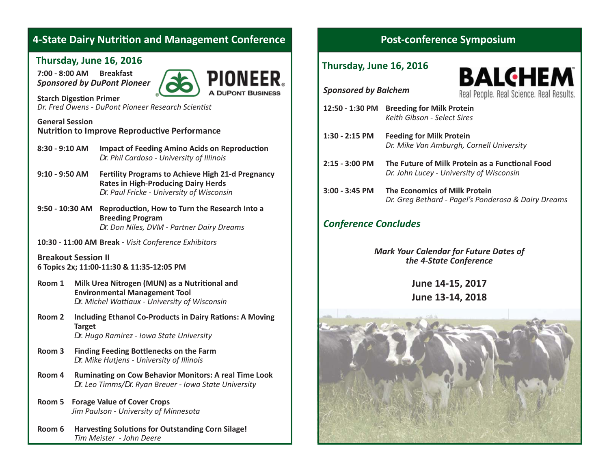# **4-State Dairy Nutrition and Management Conference**

#### **Thursday, June 16, 2016**

**7:00 - 8:00 AM Breakfast***Sponsored by DuPont Pioneer*



**Starch Digestion Primer** *Dr. Fred Owens - DuPont Pioneer Research Scientist* 

#### **General Session NutriƟ on to Improve ReproducƟ ve Performance**

- **8:30 9:10 AM** Impact of Feeding Amino Acids on Reproduction *Dr. Phil Cardoso - University of Illinois*
- **9:10 9:50 AM FerƟ lity Programs to Achieve High 21-d Pregnancy Rates in High-Producing Dairy Herds** *Dr. Paul Fricke - University of Wisconsin*
- **9:50 10:30 AM ReproducƟ on, How to Turn the Research Into a Breeding Program** *Dr. Don Niles, DVM - Partner Dairy Dreams*
- **10:30 11:00 AM Break -** *Visit Conference Exhibitors*

**Breakout Session II6 Topics 2x; 11:00-11:30 & 11:35-12:05 PM**

- **Room 1** Milk Urea Nitrogen (MUN) as a Nutritional and  **Environmental Management Tool** *Dr. Michel Waƫ aux - University of Wisconsin*
- **Room 2** Including Ethanol Co-Products in Dairy Rations: A Moving  **Target** *Dr. Hugo Ramirez - Iowa State University*
- **Room 3** Finding Feeding Bottlenecks on the Farm *Dr. Mike Hutjens - University of Illinois*
- **Room 4 RuminaƟ ng on Cow Behavior Monitors: A real Time Look** *Dr. Leo Timms/Dr. Ryan Breuer - Iowa State University*
- **Room 5 Forage Value of Cover Crops** *Jim Paulson - University of Minnesota*
- **Room 6 HarvesƟ ng SoluƟ ons for Outstanding Corn Silage!** *Tim Meister - John Deere*

## **Post-conference Symposium**

#### **Thursday, June 16, 2016**

**BALGHEM** Real People, Real Science, Real Results.

*Sponsored by Balchem*

- **12:50 1:30 PM Breeding for Milk Protein** *Keith Gibson - Select Sires*
- **1:30 2:15 PM Feeding for Milk Protein** *Dr. Mike Van Amburgh, Cornell University*
- **2:15 3:00 PM** The Future of Milk Protein as a Functional Food *Dr. John Lucey - University of Wisconsin*
- **3:00 3:45 PM The Economics of Milk Protein** *Dr. Greg Bethard - Pagel's Ponderosa & Dairy Dreams*

## *Conference Concludes*

*Mark Your Calendar for Future Dates of the 4-State Conference*

> **June 14-15, 2017 June 13-14, 2018**

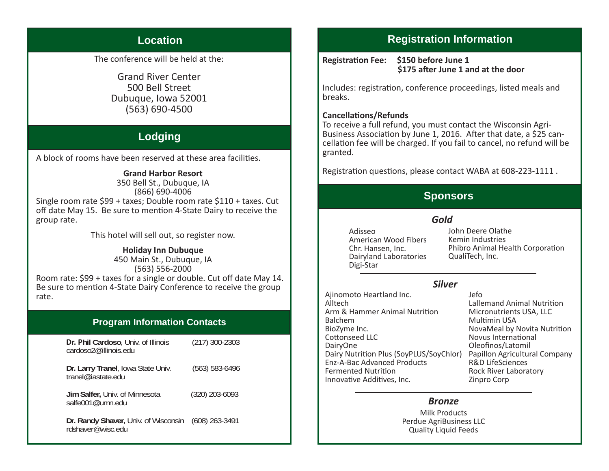## **Location**

The conference will be held at the:

**Grand River Center** 500 Bell Street Dubuque, Iowa 52001  $(563) 690 - 4500$ 

# Lodging

A block of rooms have been reserved at these area facilities.

#### **Grand Harbor Resort**

350 Bell St., Dubuque, IA  $(866) 690 - 4006$ Single room rate \$99 + taxes: Double room rate \$110 + taxes. Cut off date May 15. Be sure to mention 4-State Dairy to receive the group rate.

This hotel will sell out, so register now.

#### **Holiday Inn Dubuque**

450 Main St., Dubuque, IA  $(563) 556 - 2000$ Room rate: \$99 + taxes for a single or double. Cut off date May 14. Be sure to mention 4-State Dairy Conference to receive the group rate.

#### **Program Information Contacts**

| Dr. Phil Cardoso, Univ. of Illinois<br>cardoso2@illinois.edu             | $(217)$ 300-2303   |
|--------------------------------------------------------------------------|--------------------|
| Dr. Larry Tranel, Iowa State Univ.<br>tranel@iastate.edu                 | $(563) 583 - 6496$ |
| Jim Salfer, Univ. of Minnesota<br>salfe001@umn.edu                       | $(320)$ 203-6093   |
| Dr. Randy Shaver, Univ. of Wisconsin (608) 263-3491<br>rdshaver@wisc.edu |                    |

# **Registration Information**

**Registration Fee:** \$150 before June 1 \$175 after June 1 and at the door

Includes: registration, conference proceedings, listed meals and hreaks.

#### **Cancellations/Refunds**

To receive a full refund, you must contact the Wisconsin Agri-Business Association by June 1, 2016. After that date, a \$25 cancellation fee will be charged. If you fail to cancel, no refund will be granted.

Registration questions, please contact WABA at 608-223-1111.

## **Sponsors**

#### Gold

Adissen American Wood Fibers Chr. Hansen, Inc. Dairyland Laboratories Digi-Star

John Deere Olathe Kemin Industries Phibro Animal Health Corporation QualiTech, Inc.

#### **Silver**

Ajinomoto Heartland Inc. Alltech Arm & Hammer Animal Nutrition **Balchem** BioZyme Inc. Cottonseed LLC **DairvOne** Dairy Nutrition Plus (SoyPLUS/SoyChlor) **Fnz-A-Bac Advanced Products Fermented Nutrition** Innovative Additives, Inc.

Jefo **Lallemand Animal Nutrition** Micronutrients USA, LLC **Multimin USA** NovaMeal by Novita Nutrition Novus International Oleofinos/Latomil Papillon Agricultural Company R&D LifeSciences **Rock River Laboratory** Zinpro Corp

#### **Bronze**

Milk Products Perdue AgriBusiness LLC **Quality Liquid Feeds**